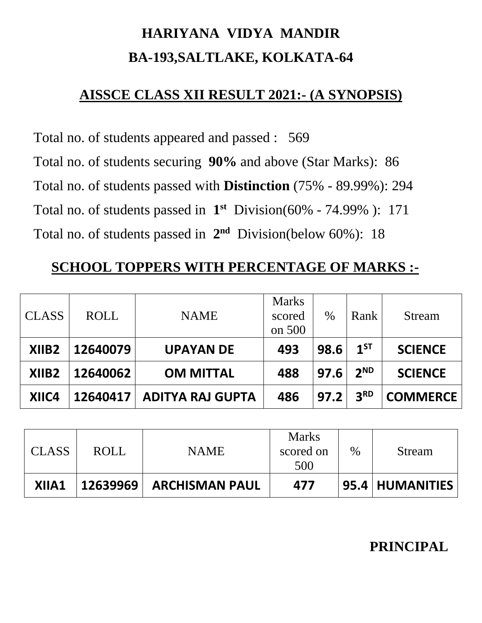# **HARIYANA VIDYA MANDIR BA-193,SALTLAKE, KOLKATA-64**

### **AISSCE CLASS XII RESULT 2021:- (A SYNOPSIS)**

Total no. of students appeared and passed : 569 Total no. of students securing **90%** and above (Star Marks): 86 Total no. of students passed with **Distinction** (75% - 89.99%): 294 Total no. of students passed in  $1<sup>st</sup>$  Division(60% - 74.99%): 171 Total no. of students passed in **2 nd** Division(below 60%): 18

## **SCHOOL TOPPERS WITH PERCENTAGE OF MARKS :-**

| <b>CLASS</b>      | <b>ROLL</b> | <b>NAME</b>             | <b>Marks</b><br>scored<br>on 500 | %    | Rank            | <b>Stream</b>   |  |
|-------------------|-------------|-------------------------|----------------------------------|------|-----------------|-----------------|--|
| XIIB <sub>2</sub> | 12640079    | <b>UPAYAN DE</b>        | 493                              | 98.6 | $1^{ST}$        | <b>SCIENCE</b>  |  |
| XIIB <sub>2</sub> | 12640062    | <b>OM MITTAL</b>        | 488                              | 97.6 | 2 <sup>ND</sup> | <b>SCIENCE</b>  |  |
| XIIC4             | 12640417    | <b>ADITYA RAJ GUPTA</b> | 486                              | 97.2 | 3 <sup>RD</sup> | <b>COMMERCE</b> |  |

| <b>CLASS</b> | <b>ROLL</b> | <b>NAME</b>           | <b>Marks</b><br>scored on<br>500 | $\%$ | Stream          |
|--------------|-------------|-----------------------|----------------------------------|------|-----------------|
| XIIA1        | 12639969    | <b>ARCHISMAN PAUL</b> | 477                              |      | 95.4 HUMANITIES |

### **PRINCIPAL**